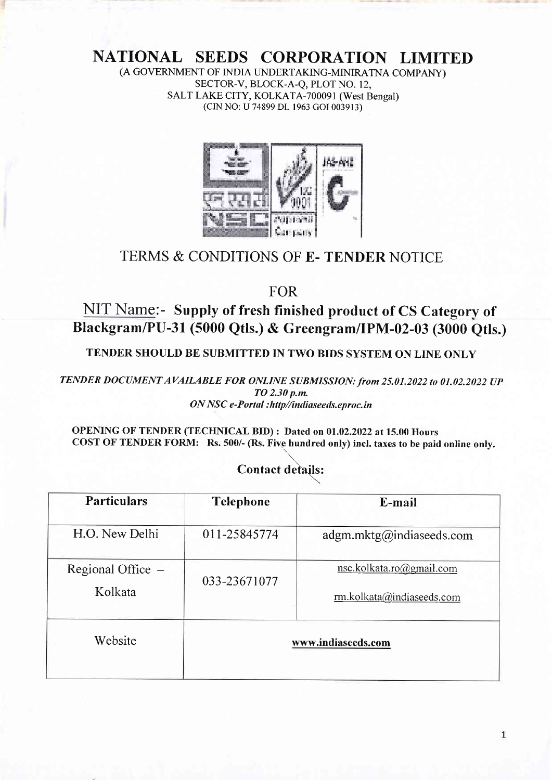# NATIONAL SEEDS CORPORATION LIMITED

(A GOVERNMENT OF INDIA UNDERTAKING-MINIRATNA COMPANY) SECTOR-V, BLOCK-A-Q, PLOT NO. 12, SALT LAKE CITY, KOLKATA-700091 (West Bengal) (CIN NO: U 74899 DL 1963 cOI 003913)



## TERMS & CONDITIONS OF E. TENDER NOTICE

FOR

NIT Name:- Supply of fresh finished product of CS Category of Blackgram/Pu-3r (5000 Qtls.) & Greengram/IPM-02-03 (3000 Qtls.)

TENDER SHOULD BE SUBMITTED IN TWO BIDS SYSTEM ON LINE ONLY

TENDER DOCUMENT AVAILABLE FOR ONLINE SUBMISSION: from 25.01.2022 to 01.02.2022 UP TO 2.30 p.m. ON NSC e-Portal : http//intliaseeds.eproc. in

OPENING OF TENDER (TECHNICAL BID) : Dated on 01.02.2022 at 15.00 Hours COST OF TENDER FORM: Rs. 500/- (Rs. Five hundred only) incl. taxes to be paid online only.

#### Contact details:

| <b>Particulars</b>             | <b>Telephone</b>   | E-mail                                                |  |
|--------------------------------|--------------------|-------------------------------------------------------|--|
| H.O. New Delhi                 | 011-25845774       | adgm.mktg@indiaseeds.com                              |  |
| Regional Office $-$<br>Kolkata | 033-23671077       | nsc.kolkata.ro@gmail.com<br>rm.kolkata@indiaseeds.com |  |
| Website                        | www.indiaseeds.com |                                                       |  |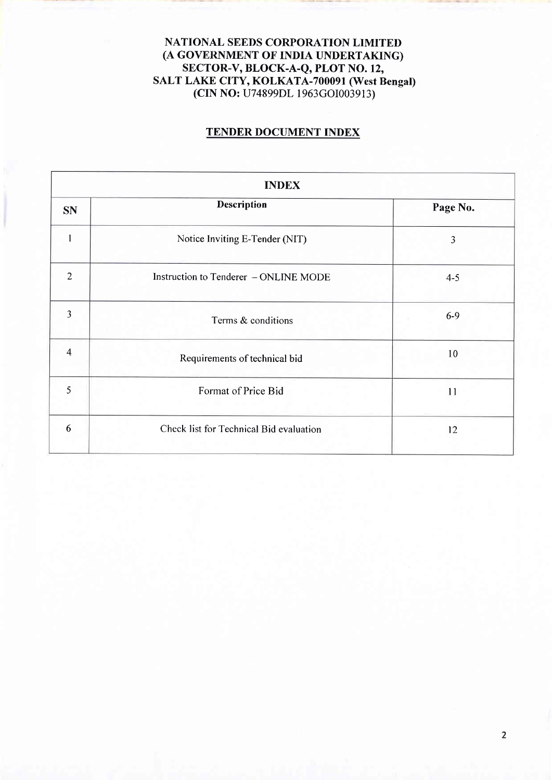#### NATIONAL SEEDS CORPORATION LIMITED (A GOVERNMENT OF INDIA UNDERTAKING) SECTOR-V, BLOCK-A-Q, PLOT NO. 12, SALT LAKE CITY, KOLKATA-700091 (West Bengat) (CIN NO: U74899DL 1963cOI003913)

#### TENDER DOCUMENT INDEX

| <b>INDEX</b>   |                                         |          |  |  |
|----------------|-----------------------------------------|----------|--|--|
| <b>SN</b>      | <b>Description</b>                      | Page No. |  |  |
| $\mathbf{I}$   | Notice Inviting E-Tender (NIT)          | 3        |  |  |
| $\overline{2}$ | Instruction to Tenderer - ONLINE MODE   | $4 - 5$  |  |  |
| 3              | Terms & conditions                      | $6-9$    |  |  |
| 4              | Requirements of technical bid           | 10       |  |  |
| 5              | Format of Price Bid                     | 11       |  |  |
| 6              | Check list for Technical Bid evaluation | 12       |  |  |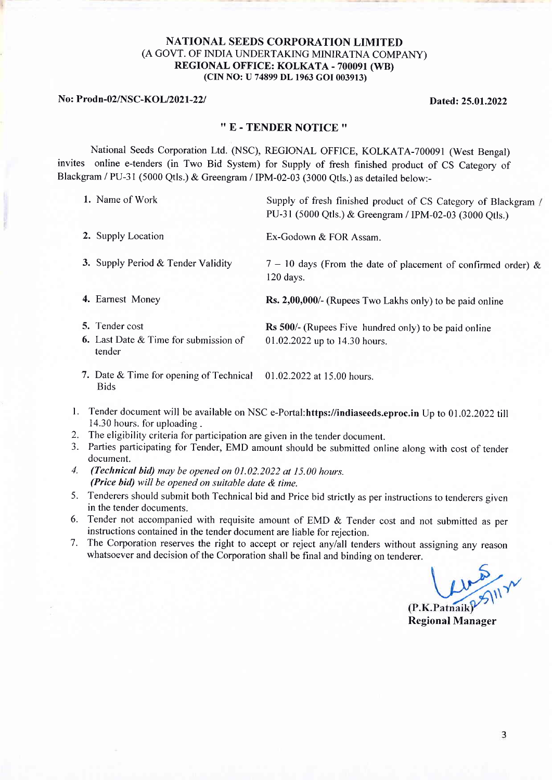#### NATIONAL SEEDS CORPORATION LIMITED (A GOVT. OF INDIA LINDERTAKING MINIRATNA COMPANY) REGIONAL OFFICE: KOLKATA - 700091 (WB) (CIN NO: U 74899 DL 1963 GOI 003913)

No: Prodn-02/NSC-KOL/2021-22/ Dated: 25.01.2022

### " E - TENDER NOTICE "

National Seeds Corporation Ltd. (NSC), REGIONAL OFFICE, KOLKATA-700091 (West Bengal) invites online e-tenders (in Two Bid System) for Supply of fresh finished product of CS Category of Blackgram / PU-31 (5000 Qtls.) & Greengram / IPM-02-03 (3000 Qtls.) as detailed below:-

| 1. Name of Work                                                                   | Supply of fresh finished product of CS Category of Blackgram /<br>PU-31 (5000 Qtls.) & Greengram / IPM-02-03 (3000 Qtls.) |
|-----------------------------------------------------------------------------------|---------------------------------------------------------------------------------------------------------------------------|
| 2. Supply Location                                                                | Ex-Godown & FOR Assam.                                                                                                    |
| 3. Supply Period & Tender Validity                                                | $7 - 10$ days (From the date of placement of confirmed order) &<br>$120$ days.                                            |
| 4. Earnest Money                                                                  | <b>Rs. 2,00,000/-</b> (Rupees Two Lakhs only) to be paid online                                                           |
| 5. Tender cost<br><b>6.</b> Last Date $\&$ Time for submission of<br>tender       | Rs 500/- (Rupees Five hundred only) to be paid online<br>01.02.2022 up to 14.30 hours.                                    |
| 7. Date & Time for opening of Technical 01.02.2022 at 15.00 hours.<br><b>Bids</b> |                                                                                                                           |

- l. Tender document will be available on NSC e-Portal:https://indiaseeds.eproc.in Up to 01.02 .2022 till 14.30 hours. for uploading .
- 2. The eligibility criteria for participation are given in the tender document.
- 3. Parties participating for Tender, EMD amount should be submitted online along with cost of tender document.
- 4. (Technical bid) may be opened on 01.02.2022 at 15.00 hours. (Price bid) will be opened on suitable date  $\&$  time.
- 5. Tenderers should submit both Technical bid and Price bid strictly as per instructions to tenderers given in the tender documents.
- 6. Tender not accompanied with requisite amount of EMD & Tender cost and not submitted as per instructions contained in the tender document are liable for rejection.
- 7. The Corporation reserves the right to accept or reject anylall tenders without assigning any reason whatsoever and decision of the Corporation shall be final and binding on tenderer.

M/M (P.K.Patnaik

Regional Manager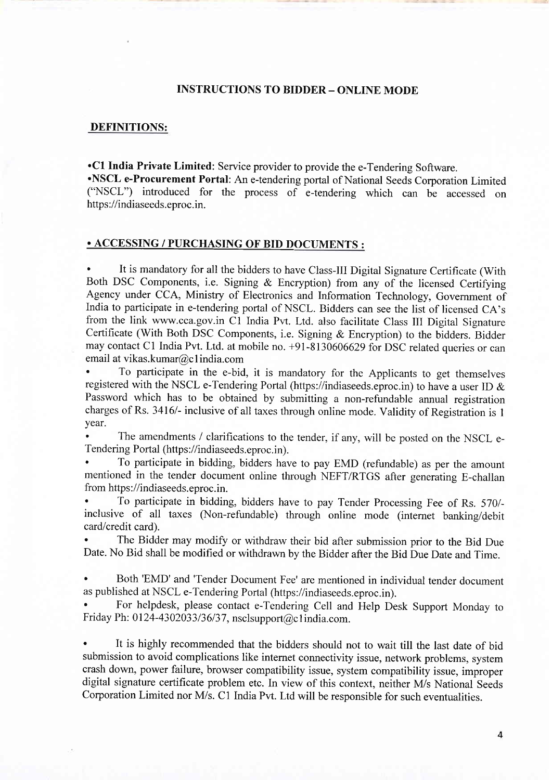#### INSTRUCTIONS TO BIDDER - ONLINE MODE

#### DEFINITIONS:

'Cl India Private Limited: Service provider to provide the e-Tendering Software.

'NSCL e-Procurement Portal: An e-tendering portal of National Seeds Corporation Limited ("NSCL") introduced for the process of e-tendering which can be accessed on https://indiaseeds.eproc.in.

#### . ACCESSING / PURCHASING OF BID DOCUMENTS :

It is mandatory for all the bidders to have Class-III Digital Signature Certificate (With Both DSC Components, i.e. Signing & Encryption) from any of the licensed Certifying Agency under CCA, Ministry of Electronics and Information Technology, Govemment of India to participate in e-tendering portal of NSCL. Bidders can see the list of licensed CA's from the link www.cca.gov.in Cl India Pvt. Ltd. also facilitate Class III Digital Signature Certificate (With Both DSC Components, i.e. Signing & Encryption) to the bidders. Bidder may contact Cl India Pvt. Ltd. at mobile no. +91-8130606629 for DSC related queries or can email at vikas.kumar@c I india.com

' To participate in the e-bid, it is mandatory for the Applicants to get themselves registered with the NSCL e-Tendering Portal (https://indiaseeds.eproc.in) to have a user ID & Password which has to be obtained by submitting a non-refundable annual registration charges of Rs. 3416/- inclusive of all taxes through online mode. Validity of Registration is 1 year.

The amendments / clarifications to the tender, if any, will be posted on the NSCL e-Tendering Portal (https://indiaseeds.eproc.in).

' To participate in bidding, bidders have to pay EMD (refundable) as per the amount mentioned in the tender document online through NEFT/RTGS after generating E-challan from https://indiaseeds.eproc.in.

To participate in bidding, bidders have to pay Tender Processing Fee of Rs. 570/inclusive of all taxes (Non-refundable) through online mode (internet banking/debit card/credit card).

The Bidder may modify or withdraw their bid after submission prior to the Bid Due Date. No Bid shall be modified or withdrawn by the Bidder after the Bid Due Date and Time.

Both 'EMD' and 'Tender Document Fee' are mentioned in individual tender document as published at NSCL e-Tendering Portal (https://indiaseeds.eproc.in).

' For helpdesk, please contact e-Tendering Cell and Help Desk Support Monday to Friday Ph: 0124-4302033/36/37, nsclsupport@c1india.com.

It is highly recommended that the bidders should not to wait till the last date of bid submission to avoid complications like internet connectivity issue, network problems, system crash down, power failure, browser compatibility issue, system compatibility issue, improper digital signature certificate problem etc. In view of this context, neither M/s National Seeds Corporation Limited nor M/s. C1 India Pvt. Ltd will be responsible for such eventualities.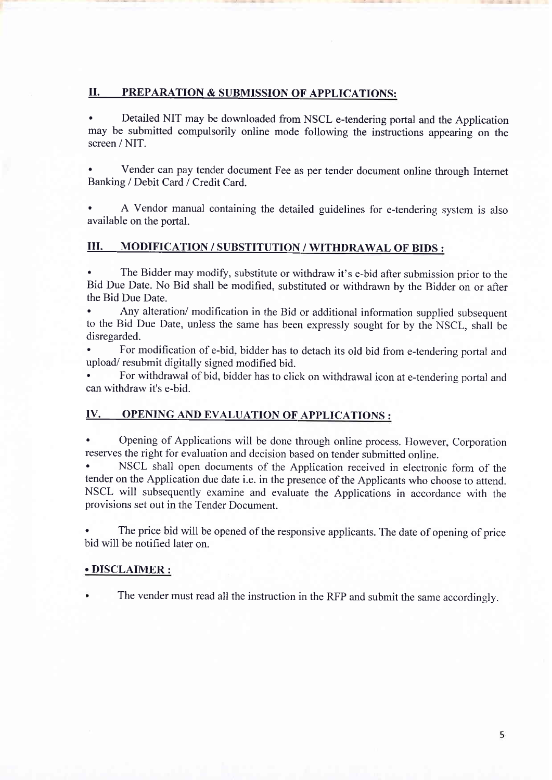#### II. PREPARATION & SUBMISSION OF APPLICATIONS:

Detailed NIT may be downloaded from NSCL e-tendering portal and the Application may be submitted compulsorily online mode following the instructions appearing on the screen / NIT.

' Vender can pay tender document Fee as per tender document online through Internet Banking / Debit Card / Credit Card.

A Vendor manual containing the detailed guidelines for e-tendering system is also available on the portal.

#### III. MODIFICATION / SUBSTITUTION / WITHDRAWAL OF BIDS :

The Bidder may modify, substitute or withdraw it's e-bid after submission prior to the Bid Due Date. No Bid shall be modified, substituted or withdrawn by the Bidder on or after the Bid Due Date.

Any alteration/ modification in the Bid or additional information supplied subsequent to the Bid Due Date, unless the same has been expressly sought for by the NSCL, shall be disregarded.

For modification of e-bid, bidder has to detach its old bid from e-tendering portal and upload/ resubmit digitally signed modified bid.

' For withdrawal of bid, bidder has to click on withdrawal icon at e-tendering portal and can withdraw it's e-bid.

#### IV. OPENING AND EVALUATION OF APPLICATIONS :

' Opening of Applications will be done through online process. However, Corporation reserves the right for evaluation and decision based on tender submitted online.

NSCL shall open documents of the Application received in electronic form of the tender on the Application due date i.e. in the presence of the Applicants who choose to attend. NSCL will subsequently examine and evaluate the Applications in accordance with the provisions set out in the Tender Document.

The price bid will be opened of the responsive applicants. The date of opening of price bid will be notified later on.

#### . DISCLAIMER :

The vender must read all the instruction in the RFP and submit the same accordingly.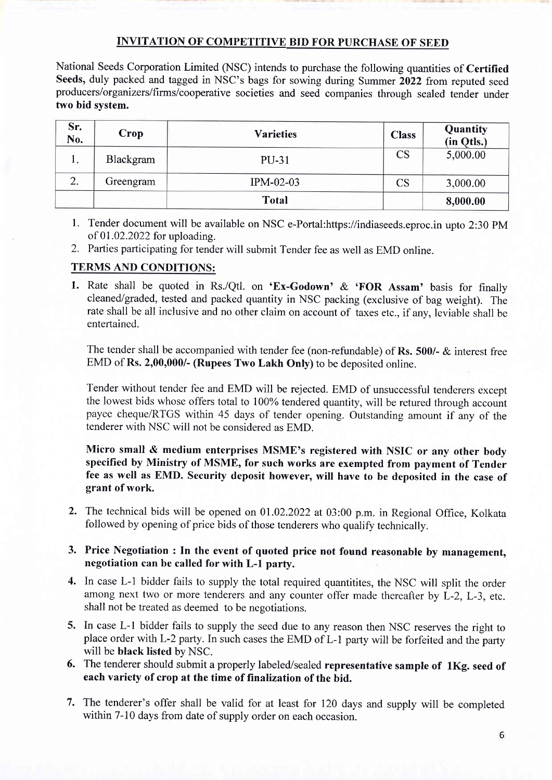#### INVITATION OF COMPETITIVE BID FOR PURCHASE OF SEED

National Seeds Corporation Limited (NSC) intends to purchase the following quantities of Certified Seeds, duly packed and tagged in NSC's bags for sowing during Summer 2022 from reputed seed producers/organizers/firms/cooperative societies and seed companies through sealed tender under fwo bid svstem.

| Sr.<br>No. | Crop      | <b>Varieties</b> | <b>Class</b>           | Quantity<br>(in Qtls.) |
|------------|-----------|------------------|------------------------|------------------------|
| π.         | Blackgram | <b>PU-31</b>     | $\overline{\text{CS}}$ | 5,000.00               |
| 2.         | Greengram | IPM-02-03        | $\operatorname{CS}$    | 3,000.00               |
|            |           | <b>Total</b>     |                        | 8,000.00               |

- l. Tender document will be available on NSC e-Portal:https://indiaseeds.eproc.in upto 2:30 PM of 01.02.2022 for uploading.
- 2. Parties participating for tender will submit Tender fee as well as EMD online.

#### TERMS AND CONDITIONS:

1. Rate shall be quoted in Rs./Qtl. on 'Ex-Godown' & 'FOR Assam' basis for finally cleaned/graded, tested and packed quantity in NSC packing (exclusive of bag weight). The rate shall be all inclusive and no other claim on account of taxes etc., if any. leviable shall be entertained.

The tender shall be accompanied with tender fee (non-refundable) of Rs. 500/- & interest free EMD of Rs. 2,00,000/- (Rupees Two Lakh Only) to be deposited online.

Tender without tender fee and EMD will be rejected. EMD of unsuccessful tenderers except the lowest bids whose offers total to 100% tendered quantity, will be retured through account payee cheque/RTGS within 45 days of tender opening. Outstanding amount if any of the tenderer with NSC will not be considered as EMD.

Micro small & medium enterprises MSME's registered with NSIC or any other body specified by Ministry of MSME, for such works are exempted from payment of Tender fee as well as EMD. Security deposit however, will have to be deposited in the case of grant of work.

2. The technical bids will be opened on 01.02.2022 at 03:00 p.m. in Regional Office, Kolkata followed by opening of price bids of those tenderers who qualify technically.

#### 3. Price Negotiation : In the event of quoted price not found reasonable by management negotiation can be called for with L-l party.

- 4. In case L-1 bidder fails to supply the total required quantitites, the NSC will split the order among next two or more tenderers and any counter offer made thereafter by L-2, L-3, etc. shall not be treated as deemed to be negotiations.
- 5. In case L-1 bidder fails to supply the seed due to any reason then NSC reserves the right to place order with L-2 party. In such cases the EMD of L-1 party will be forfeited and the party will be black listed by NSC.
- 6. The tenderer should submit a properly labeled/sealed representative sample of 1Kg. seed of each variety of crop at the time of finalization of the bid.
- 7. The tenderer's offer shall be valid for at least for 120 days and supply will be completed within 7-10 days from date of supply order on each occasion.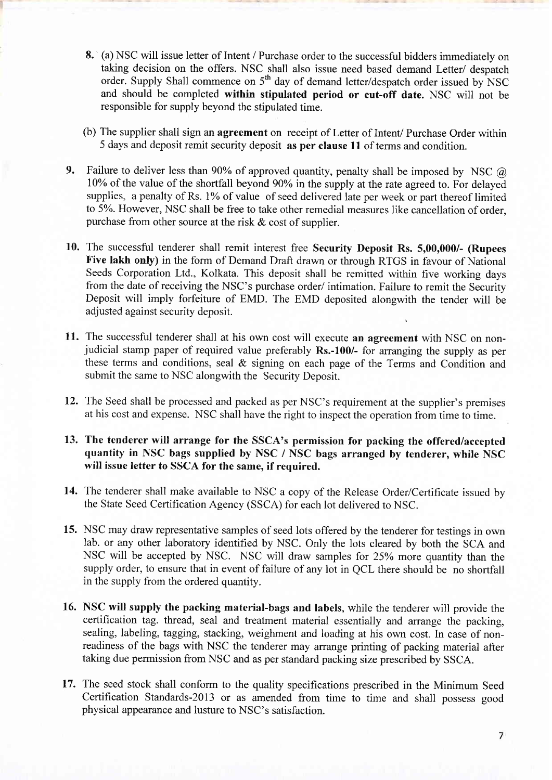- 8. (a) NSC will issue letter of Intent / Purchase order to the successful bidders immediately on taking decision on the offers. NSC shall also issue need based demand Letter/ despatch order. Supply Shall commence on 5<sup>th</sup> day of demand letter/despatch order issued by NSC and should be completed within stipulated period or cut-off date. NSC will not be responsible for supply beyond the stipulated time.
- (b) The supplier shall sign an agreement on receipt of Letter of Intent/ Purchase Order within 5 days and deposit remit security deposit as per clause 11 of terms and condition.
- 9. Failure to deliver less than 90% of approved quantity, penalty shall be imposed by NSC  $\omega$ 10% of the value of the shortfall beyond 90% in the supply at the rate agreed to. For delayed supplies, a penalty of Rs. 1% of value of seed delivered late per week or part thereof limited to 5Yo. However, NSC shall be free to take other remedial measures like cancellation of order, purchase from other source at the risk  $\&$  cost of supplier.
- 10. The successful tenderer shall remit interest free Security Deposit Rs. 5,00,000/- (Rupees Five lakh only) in the form of Demand Draft drawn or through RTGS in favour of National Seeds Corporation Ltd., Kolkata. This deposit shall be remitted within five working days from the date of receiving the NSC's purchase order/ intimation. Failure to remit the Security Deposit will imply forfeiture of EMD. The EMD deposited alongwith the tender will be adjusted against security deposit.
- 11. The successful tenderer shall at his own cost will execute an agreement with NSC on nonjudicial stamp paper of required value preferably Rs.-100/- for arranging the supply as per these terms and conditions, seal & signing on each page of the Terms and Condition and submit the same to NSC alongwith the Security Deposit.
- 12. The Seed shall be processed and packed as per NSC's requirement at the supplier's premises at his cost and expense. NSC shall have the right to inspect the operation from time to time.
- 13. The tenderer will arrange for the SSCA's permission for packing the offered/accepted quantity in NSC bags supplied by NSC / NSC bags arranged by tenderer, while NSC will issue letter to SSCA for the same, if required.
- 14. The tenderer shall make available to NSC a copy of the Release Order/Certificate issued by the State Seed certification Agency (sscA) for each lot delivered to NSC.
- 15. NSC may draw representative samples of seed lots offered by the tenderer for testings in own lab. or any other laboratory identified by NSC. Only the lots cleared by both the SCA and NSC will be accepted by NSC. NSC will draw samples for 25Yo more quantity than the supply order, to ensure that in event of failure of any lot in OCL there should be no shortfall in the supply from the ordered quantity.
- 16. NSC will supply the packing material-bags and labels, while the tenderer will provide the certification tag. thread, seal and treatment material essentially and arrange the packing, sealing, labeling, tagging, stacking, weighment and loading at his own cost. In case of nonreadiness of the bags with NSC the tenderer may arrange printing of packing material after taking due permission from NSC and as per standard packing size prescribed by SSCA.
- 17. The seed stock shall conform to the quality specifications prescribed in the Minimum Seed Certification Standards-20l3 or as amended from time to time and shall possess good physical appearance and lusture to NSC's satisfaction.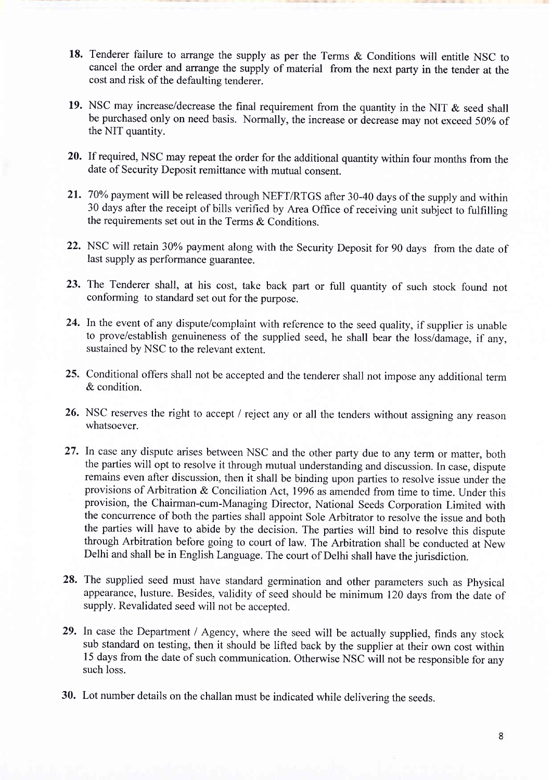- 18. Tenderer failure to arrange the supply as per the Terms & Conditions will entitle NSC to cancel the order and arrange the supply of material from the next party in the tender at the cost and risk of the defaulting tenderer.
- 19. NSC may increase/decrease the final requirement from the quantity in the NIT  $\&$  seed shall be purchased only on need basis. Normally, the increase or decrease may not exceed 50% of the NIT quantity.
- 20. If required, NSC may repeat the order for the additional quantity within four months from the date of Security Deposit remittance with mutual consent.
- 21. 70% payment will be released through NEFT/RTGS after 30-40 days of the supply and within 30 days after the receipt of bills verified by Area Office of receiving unit subject to fulfrlling the requirements set out in the Terms & Conditions.
- 22. NSC will retain 30% payment along with the Security Deposit for 90 days from the date of last supply as performance guarantee.
- 23. The Tenderer shall, at his cost, take back part or full quantity of such stock found not conforming to standard set out for the purpose.
- 24. In the event of any dispute/complaint with reference to the seed quality, if supplier is unable to prove/establish genuineness of the supplied seed, he shall bear the loss/damage, if any, sustained by NSC to the relevant extent.
- 25. Conditional offers shall not be accepted and the tenderer shall not impose any additional term & condition.
- 26. NSC reserves the right to accept / reject any or all the tenders without assigning any reason whatsoever.
- 27. ln case any dispute arises between NSC and the other party due to any term or matter, both the parties will opt to resolve it through mutual understanding and discussion. In case, dispute remains even after discussion, then it shall be binding upon parties to resolve issue under the provisions of Arbitration & Conciliation Act, 1996 as amended from time to time. Under this provision, the Chairman-cum-Managing Director, National Seeds Corporation Limited with the concurrence of both the parties shall appoint Sole Arbitrator to resolve the issue and both the parties will have to abide by the decision. The parties will bind to resolve this dispute through Arbitration before going to court of law. The Arbitration shall be conducted at New Delhi and shall be in English Language. The court of Delhi shall have the jurisdiction.
- 28. The supplied seed must have standard germination and other parameters such as physical appearance, lusture. Besides, validity of seed should be minimum I20 days from the date of supply. Revalidated seed will not be accepted.
- 29. In case the Department / Agency, where the seed will be actually supplied, finds any stock sub standard on testing, then it should be lifted back by the supplier at their own cost within 15 days from the date of such communication. Otherwise NSC will not be responsible for any such loss.
- 30. Lot number details on the challan must be indicated while delivering the seeds.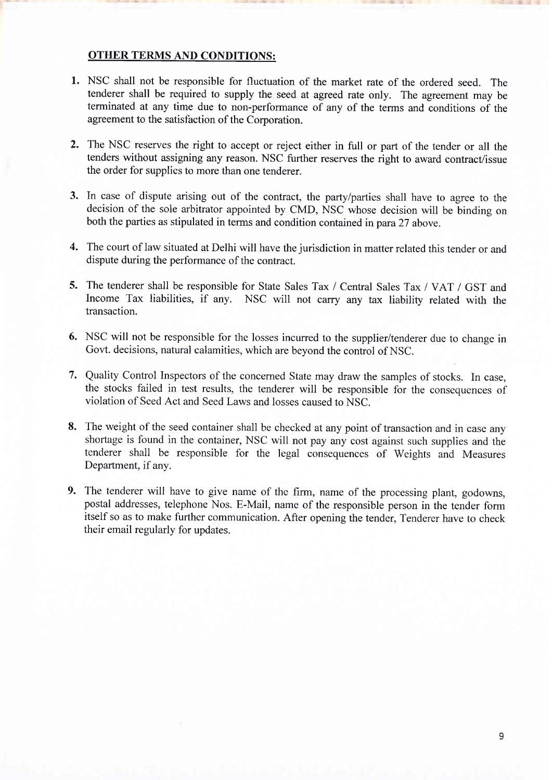#### OTHER TERMS AND CONDITIONS:

- l. NSC shall not be responsible for fluctuation of the market rate of the ordered seed. The tenderer shall be required to supply the seed at agreed rate only. The agreement may be terminated at any time due to non-performance of any of the terms and conditions of the agreement to the satisfaction of the Corporation.
- 2. The NSC reserves the right to accept or reject either in full or part of the tender or all the tenders without assigning any reason. NSC further reserves the right to award contract/issue the order for supplies to more than one tenderer.
- 3. In case of dispute arising out of the contract, the party/parties shall have to agree to the decision of the sole arbitrator appointed by CMD, NSC whose decision will be binding on both the parties as stipulated in terms and condition contained in para 27 above.
- The court of law situated at Delhi will have the jurisdiction in matter related this tender or and 4. dispute during the performance of the contract.
- 5. The tenderer shall be responsible for State Sales Tax / Central Sales Tax / VAT / GST and Income Tax liabilities, if any. NSC will not carry any tax liability related with the transaction.
- 6. NSC will not be responsible for the losses incurred to the supplier/tenderer due to change in Govt. decisions, natural calamities, which are beyond the control of NSC.
- 7. Quality Control Inspectors of the concerned State may draw the samples of stocks. In case, the stocks failed in test results, the tenderer will be responsible for the consequences of violation of Seed Act and Seed Laws and losses caused to NSC.
- 8. The weight of the seed container shall be checked at any point of transaction and in case any shortage is found in the container, NSC will not pay any cost against such supplies and the tenderer shall be responsible for the legal consequences of Weights and Measures Department, if any.
- 9. The tenderer will have to give name of the firm, name of the processing plant, godowns postal addresses, telephone Nos. E-Mail, name of the responsible person in the tender form itself so as to make further communication. After opening the tender, Tenderer have to check their email regularly for updates.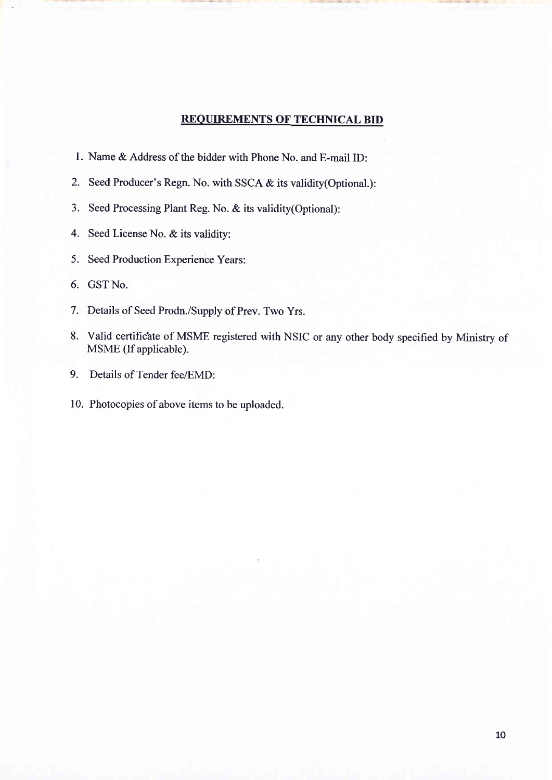#### REQUIREMENTS OF TECHNICAL BID

- 1. Name & Address of the bidder with Phone No. and E-mail ID:
- 2. Seed Producer's Regn. No. with SSCA & its validity(Optional.):
- 3. Seed Processing Plant Reg. No. & its validity(Optional):
- 4. Seed License No. & its validity:
- 5. Seed Production Experience Years:
- 6. GST No.
- 7. Details of Seed Prodn./Supply of Prev. Two Yrs.
- 8. Valid certificate of MSME registered with NSIC or any other body specified by Ministry of MSME (If applicable).
- 9. Details of Tender fee/EMD:
- 10. Photocopies of above items to be uploaded.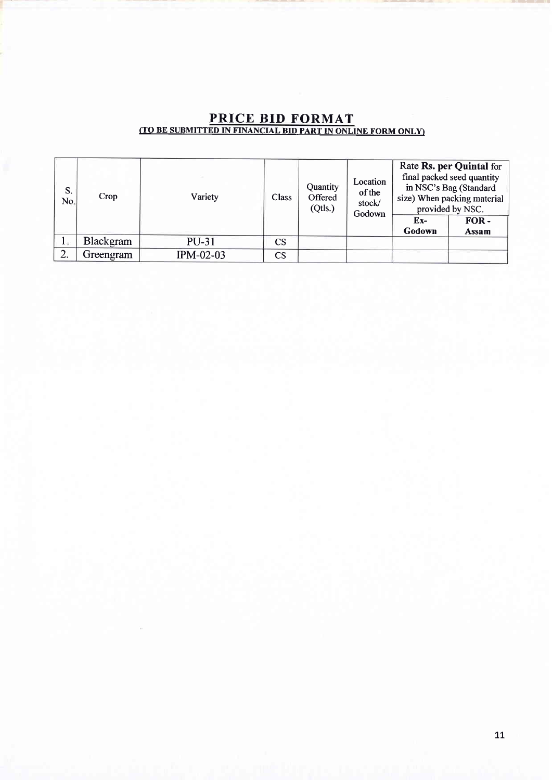| S.<br>No. | Crop      | Variety      | Class                  | Quantity<br>Offered<br>(Qtls.) | Location<br>of the<br>stock/<br>Godown | Ex-<br>Godown | Rate Rs. per Quintal for<br>final packed seed quantity<br>in NSC's Bag (Standard<br>size) When packing material<br>provided by NSC.<br>FOR-<br>Assam |
|-----------|-----------|--------------|------------------------|--------------------------------|----------------------------------------|---------------|------------------------------------------------------------------------------------------------------------------------------------------------------|
| ŀ.        | Blackgram | <b>PU-31</b> | <b>CS</b>              |                                |                                        |               |                                                                                                                                                      |
| 2.        | Greengram | IPM-02-03    | $\mathbf{C}\mathbf{S}$ |                                |                                        |               |                                                                                                                                                      |

#### PRICE BID FORMAT (TO BE SUBMITTED IN FINANCIAL BID PART IN ONLINE FORM ONLYI

 $\mathbf{y}$  and  $\mathbf{y}$  to the type of the set of  $\mathbf{y}$